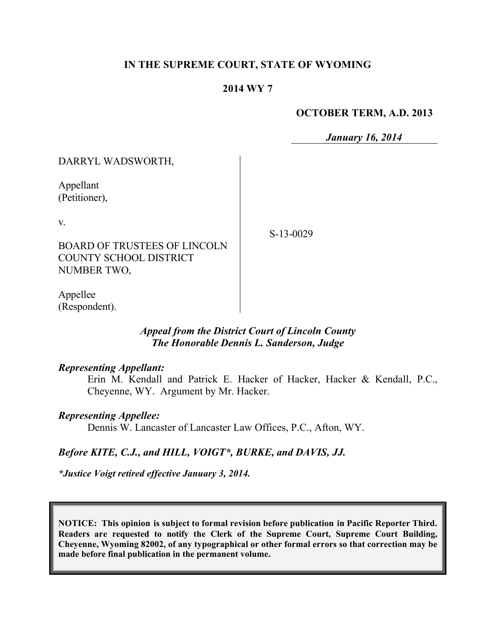## **IN THE SUPREME COURT, STATE OF WYOMING**

## **2014 WY 7**

### **OCTOBER TERM, A.D. 2013**

*January 16, 2014*

| DARRYL WADSWORTH,                                                                                  |           |
|----------------------------------------------------------------------------------------------------|-----------|
| Appellant<br>(Petitioner),                                                                         |           |
| $V_{\cdot}$<br><b>BOARD OF TRUSTEES OF LINCOLN</b><br><b>COUNTY SCHOOL DISTRICT</b><br>NUMBER TWO, | S-13-0029 |
| Appellee                                                                                           |           |

Appellee (Respondent).

## *Appeal from the District Court of Lincoln County The Honorable Dennis L. Sanderson, Judge*

#### *Representing Appellant:*

Erin M. Kendall and Patrick E. Hacker of Hacker, Hacker & Kendall, P.C., Cheyenne, WY. Argument by Mr. Hacker.

### *Representing Appellee:*

Dennis W. Lancaster of Lancaster Law Offices, P.C., Afton, WY.

### *Before KITE, C.J., and HILL, VOIGT\*, BURKE, and DAVIS, JJ.*

*\*Justice Voigt retired effective January 3, 2014.*

**NOTICE: This opinion is subject to formal revision before publication in Pacific Reporter Third. Readers are requested to notify the Clerk of the Supreme Court, Supreme Court Building, Cheyenne, Wyoming 82002, of any typographical or other formal errors so that correction may be made before final publication in the permanent volume.**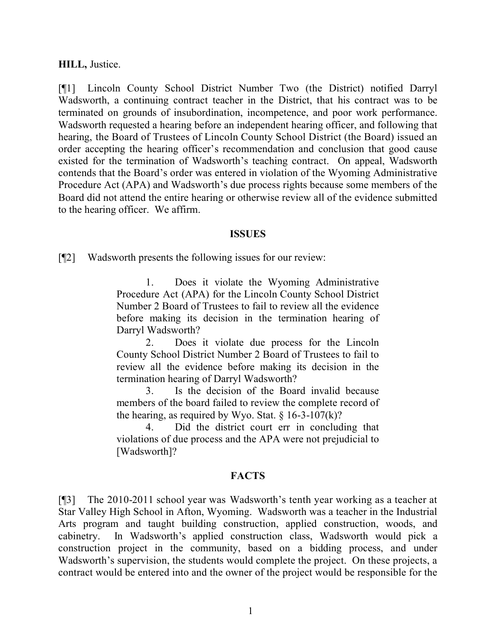#### **HILL,** Justice.

[¶1] Lincoln County School District Number Two (the District) notified Darryl Wadsworth, a continuing contract teacher in the District, that his contract was to be terminated on grounds of insubordination, incompetence, and poor work performance. Wadsworth requested a hearing before an independent hearing officer, and following that hearing, the Board of Trustees of Lincoln County School District (the Board) issued an order accepting the hearing officer's recommendation and conclusion that good cause existed for the termination of Wadsworth's teaching contract. On appeal, Wadsworth contends that the Board's order was entered in violation of the Wyoming Administrative Procedure Act (APA) and Wadsworth's due process rights because some members of the Board did not attend the entire hearing or otherwise review all of the evidence submitted to the hearing officer. We affirm.

#### **ISSUES**

[¶2] Wadsworth presents the following issues for our review:

1. Does it violate the Wyoming Administrative Procedure Act (APA) for the Lincoln County School District Number 2 Board of Trustees to fail to review all the evidence before making its decision in the termination hearing of Darryl Wadsworth?

2. Does it violate due process for the Lincoln County School District Number 2 Board of Trustees to fail to review all the evidence before making its decision in the termination hearing of Darryl Wadsworth?

3. Is the decision of the Board invalid because members of the board failed to review the complete record of the hearing, as required by Wyo. Stat.  $\S$  16-3-107(k)?

4. Did the district court err in concluding that violations of due process and the APA were not prejudicial to [Wadsworth]?

### **FACTS**

[¶3] The 2010-2011 school year was Wadsworth's tenth year working as a teacher at Star Valley High School in Afton, Wyoming. Wadsworth was a teacher in the Industrial Arts program and taught building construction, applied construction, woods, and cabinetry. In Wadsworth's applied construction class, Wadsworth would pick a construction project in the community, based on a bidding process, and under Wadsworth's supervision, the students would complete the project. On these projects, a contract would be entered into and the owner of the project would be responsible for the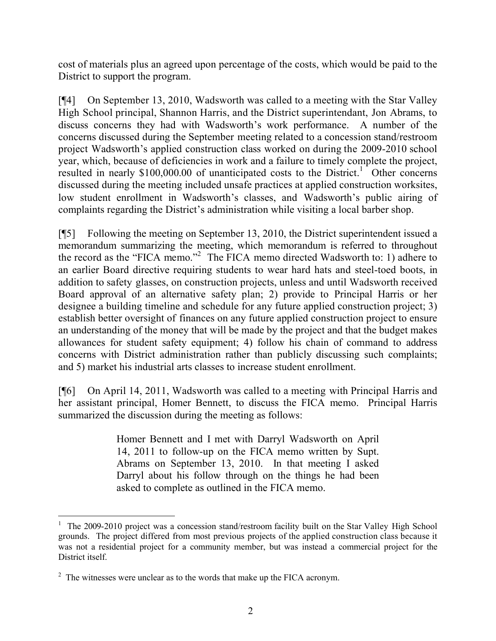cost of materials plus an agreed upon percentage of the costs, which would be paid to the District to support the program.

[¶4] On September 13, 2010, Wadsworth was called to a meeting with the Star Valley High School principal, Shannon Harris, and the District superintendant, Jon Abrams, to discuss concerns they had with Wadsworth's work performance. A number of the concerns discussed during the September meeting related to a concession stand/restroom project Wadsworth's applied construction class worked on during the 2009-2010 school year, which, because of deficiencies in work and a failure to timely complete the project, resulted in nearly  $$100,000.00$  of unanticipated costs to the District.<sup>1</sup> Other concerns discussed during the meeting included unsafe practices at applied construction worksites, low student enrollment in Wadsworth's classes, and Wadsworth's public airing of complaints regarding the District's administration while visiting a local barber shop.

[¶5] Following the meeting on September 13, 2010, the District superintendent issued a memorandum summarizing the meeting, which memorandum is referred to throughout the record as the "FICA memo." 2 The FICA memo directed Wadsworth to: 1) adhere to an earlier Board directive requiring students to wear hard hats and steel-toed boots, in addition to safety glasses, on construction projects, unless and until Wadsworth received Board approval of an alternative safety plan; 2) provide to Principal Harris or her designee a building timeline and schedule for any future applied construction project; 3) establish better oversight of finances on any future applied construction project to ensure an understanding of the money that will be made by the project and that the budget makes allowances for student safety equipment; 4) follow his chain of command to address concerns with District administration rather than publicly discussing such complaints; and 5) market his industrial arts classes to increase student enrollment.

[¶6] On April 14, 2011, Wadsworth was called to a meeting with Principal Harris and her assistant principal, Homer Bennett, to discuss the FICA memo. Principal Harris summarized the discussion during the meeting as follows:

> Homer Bennett and I met with Darryl Wadsworth on April 14, 2011 to follow-up on the FICA memo written by Supt. Abrams on September 13, 2010. In that meeting I asked Darryl about his follow through on the things he had been asked to complete as outlined in the FICA memo.

 $\overline{a}$ 1 The 2009-2010 project was a concession stand/restroom facility built on the Star Valley High School grounds. The project differed from most previous projects of the applied construction class because it was not a residential project for a community member, but was instead a commercial project for the District itself.

<sup>&</sup>lt;sup>2</sup> The witnesses were unclear as to the words that make up the FICA acronym.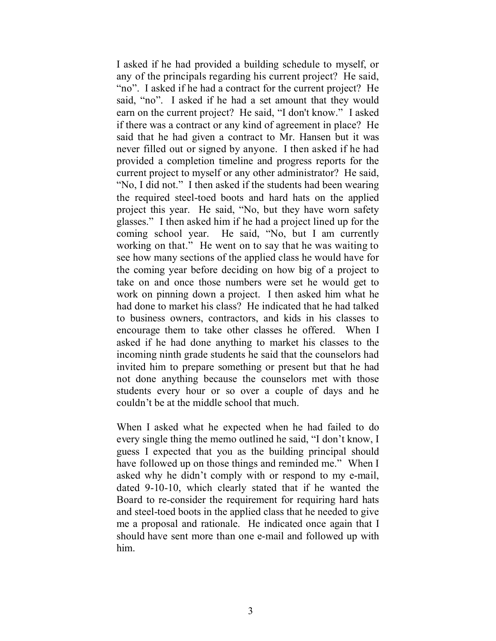I asked if he had provided a building schedule to myself, or any of the principals regarding his current project? He said, "no". I asked if he had a contract for the current project? He said, "no". I asked if he had a set amount that they would earn on the current project? He said, "I don't know." I asked if there was a contract or any kind of agreement in place? He said that he had given a contract to Mr. Hansen but it was never filled out or signed by anyone. I then asked if he had provided a completion timeline and progress reports for the current project to myself or any other administrator? He said, "No, I did not." I then asked if the students had been wearing the required steel-toed boots and hard hats on the applied project this year. He said, "No, but they have worn safety glasses." I then asked him if he had a project lined up for the coming school year. He said, "No, but I am currently working on that." He went on to say that he was waiting to see how many sections of the applied class he would have for the coming year before deciding on how big of a project to take on and once those numbers were set he would get to work on pinning down a project. I then asked him what he had done to market his class? He indicated that he had talked to business owners, contractors, and kids in his classes to encourage them to take other classes he offered. When I asked if he had done anything to market his classes to the incoming ninth grade students he said that the counselors had invited him to prepare something or present but that he had not done anything because the counselors met with those students every hour or so over a couple of days and he couldn't be at the middle school that much.

When I asked what he expected when he had failed to do every single thing the memo outlined he said, "I don't know, I guess I expected that you as the building principal should have followed up on those things and reminded me." When I asked why he didn't comply with or respond to my e-mail, dated 9-10-10, which clearly stated that if he wanted the Board to re-consider the requirement for requiring hard hats and steel-toed boots in the applied class that he needed to give me a proposal and rationale. He indicated once again that I should have sent more than one e-mail and followed up with him.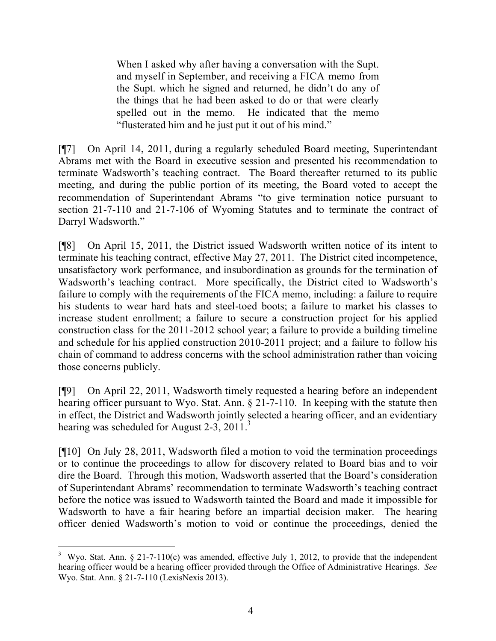When I asked why after having a conversation with the Supt. and myself in September, and receiving a FICA memo from the Supt. which he signed and returned, he didn't do any of the things that he had been asked to do or that were clearly spelled out in the memo. He indicated that the memo "flusterated him and he just put it out of his mind."

[¶7] On April 14, 2011, during a regularly scheduled Board meeting, Superintendant Abrams met with the Board in executive session and presented his recommendation to terminate Wadsworth's teaching contract. The Board thereafter returned to its public meeting, and during the public portion of its meeting, the Board voted to accept the recommendation of Superintendant Abrams "to give termination notice pursuant to section 21-7-110 and 21-7-106 of Wyoming Statutes and to terminate the contract of Darryl Wadsworth."

[¶8] On April 15, 2011, the District issued Wadsworth written notice of its intent to terminate his teaching contract, effective May 27, 2011. The District cited incompetence, unsatisfactory work performance, and insubordination as grounds for the termination of Wadsworth's teaching contract. More specifically, the District cited to Wadsworth's failure to comply with the requirements of the FICA memo, including: a failure to require his students to wear hard hats and steel-toed boots; a failure to market his classes to increase student enrollment; a failure to secure a construction project for his applied construction class for the 2011-2012 school year; a failure to provide a building timeline and schedule for his applied construction 2010-2011 project; and a failure to follow his chain of command to address concerns with the school administration rather than voicing those concerns publicly.

[¶9] On April 22, 2011, Wadsworth timely requested a hearing before an independent hearing officer pursuant to Wyo. Stat. Ann. § 21-7-110. In keeping with the statute then in effect, the District and Wadsworth jointly selected a hearing officer, and an evidentiary hearing was scheduled for August 2-3, 2011.<sup>3</sup>

[¶10] On July 28, 2011, Wadsworth filed a motion to void the termination proceedings or to continue the proceedings to allow for discovery related to Board bias and to voir dire the Board. Through this motion, Wadsworth asserted that the Board's consideration of Superintendant Abrams' recommendation to terminate Wadsworth's teaching contract before the notice was issued to Wadsworth tainted the Board and made it impossible for Wadsworth to have a fair hearing before an impartial decision maker. The hearing officer denied Wadsworth's motion to void or continue the proceedings, denied the

 <sup>3</sup> Wyo. Stat. Ann. § 21-7-110(c) was amended, effective July 1, 2012, to provide that the independent hearing officer would be a hearing officer provided through the Office of Administrative Hearings. *See* Wyo. Stat. Ann. § 21-7-110 (LexisNexis 2013).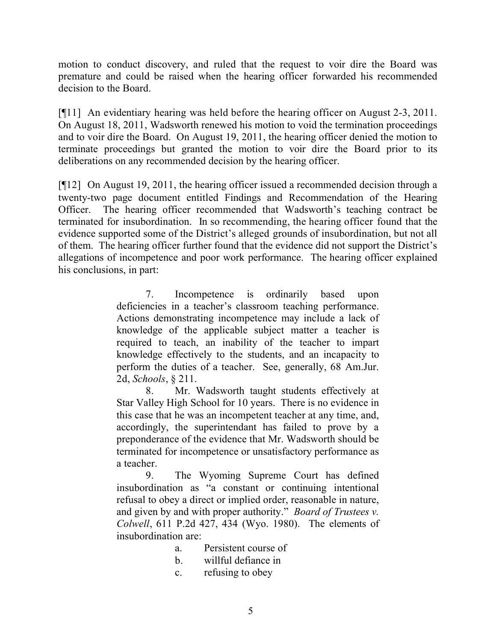motion to conduct discovery, and ruled that the request to voir dire the Board was premature and could be raised when the hearing officer forwarded his recommended decision to the Board.

[¶11] An evidentiary hearing was held before the hearing officer on August 2-3, 2011. On August 18, 2011, Wadsworth renewed his motion to void the termination proceedings and to voir dire the Board. On August 19, 2011, the hearing officer denied the motion to terminate proceedings but granted the motion to voir dire the Board prior to its deliberations on any recommended decision by the hearing officer.

[¶12] On August 19, 2011, the hearing officer issued a recommended decision through a twenty-two page document entitled Findings and Recommendation of the Hearing Officer. The hearing officer recommended that Wadsworth's teaching contract be terminated for insubordination. In so recommending, the hearing officer found that the evidence supported some of the District's alleged grounds of insubordination, but not all of them. The hearing officer further found that the evidence did not support the District's allegations of incompetence and poor work performance. The hearing officer explained his conclusions, in part:

> 7. Incompetence is ordinarily based upon deficiencies in a teacher's classroom teaching performance. Actions demonstrating incompetence may include a lack of knowledge of the applicable subject matter a teacher is required to teach, an inability of the teacher to impart knowledge effectively to the students, and an incapacity to perform the duties of a teacher. See, generally, 68 Am.Jur. 2d, *Schools*, § 211.

> 8. Mr. Wadsworth taught students effectively at Star Valley High School for 10 years. There is no evidence in this case that he was an incompetent teacher at any time, and, accordingly, the superintendant has failed to prove by a preponderance of the evidence that Mr. Wadsworth should be terminated for incompetence or unsatisfactory performance as a teacher.

> 9. The Wyoming Supreme Court has defined insubordination as "a constant or continuing intentional refusal to obey a direct or implied order, reasonable in nature, and given by and with proper authority." *Board of Trustees v. Colwell*, 611 P.2d 427, 434 (Wyo. 1980). The elements of insubordination are:

- a. Persistent course of
- b. willful defiance in
- c. refusing to obey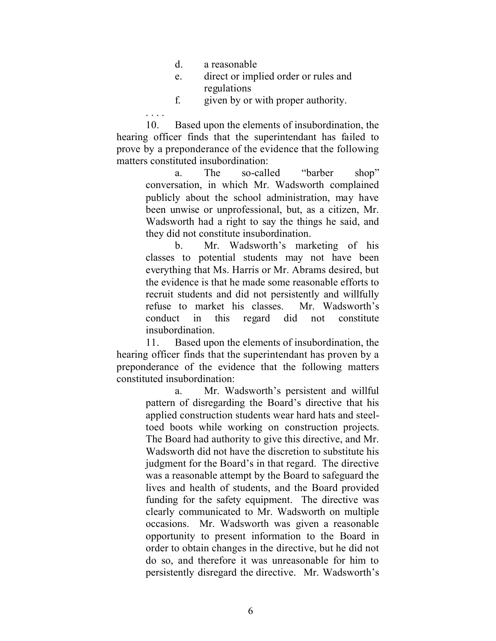- d. a reasonable
- e. direct or implied order or rules and regulations
- f. given by or with proper authority.

10. Based upon the elements of insubordination, the hearing officer finds that the superintendant has failed to prove by a preponderance of the evidence that the following matters constituted insubordination:

> a. The so-called "barber shop" conversation, in which Mr. Wadsworth complained publicly about the school administration, may have been unwise or unprofessional, but, as a citizen, Mr. Wadsworth had a right to say the things he said, and they did not constitute insubordination.

> b. Mr. Wadsworth's marketing of his classes to potential students may not have been everything that Ms. Harris or Mr. Abrams desired, but the evidence is that he made some reasonable efforts to recruit students and did not persistently and willfully refuse to market his classes. Mr. Wadsworth's conduct in this regard did not constitute insubordination.

11. Based upon the elements of insubordination, the hearing officer finds that the superintendant has proven by a preponderance of the evidence that the following matters constituted insubordination:

> a. Mr. Wadsworth's persistent and willful pattern of disregarding the Board's directive that his applied construction students wear hard hats and steeltoed boots while working on construction projects. The Board had authority to give this directive, and Mr. Wadsworth did not have the discretion to substitute his judgment for the Board's in that regard. The directive was a reasonable attempt by the Board to safeguard the lives and health of students, and the Board provided funding for the safety equipment. The directive was clearly communicated to Mr. Wadsworth on multiple occasions. Mr. Wadsworth was given a reasonable opportunity to present information to the Board in order to obtain changes in the directive, but he did not do so, and therefore it was unreasonable for him to persistently disregard the directive. Mr. Wadsworth's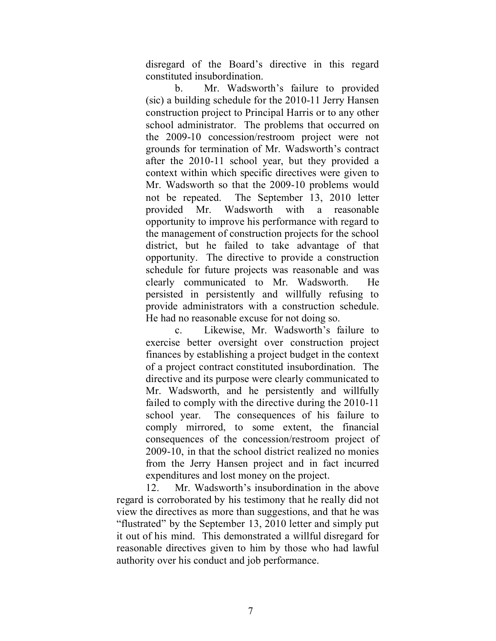disregard of the Board's directive in this regard constituted insubordination.

b. Mr. Wadsworth's failure to provided (sic) a building schedule for the 2010-11 Jerry Hansen construction project to Principal Harris or to any other school administrator. The problems that occurred on the 2009-10 concession/restroom project were not grounds for termination of Mr. Wadsworth's contract after the 2010-11 school year, but they provided a context within which specific directives were given to Mr. Wadsworth so that the 2009-10 problems would not be repeated. The September 13, 2010 letter provided Mr. Wadsworth with a reasonable opportunity to improve his performance with regard to the management of construction projects for the school district, but he failed to take advantage of that opportunity. The directive to provide a construction schedule for future projects was reasonable and was clearly communicated to Mr. Wadsworth. He persisted in persistently and willfully refusing to provide administrators with a construction schedule. He had no reasonable excuse for not doing so.

c. Likewise, Mr. Wadsworth's failure to exercise better oversight over construction project finances by establishing a project budget in the context of a project contract constituted insubordination. The directive and its purpose were clearly communicated to Mr. Wadsworth, and he persistently and willfully failed to comply with the directive during the 2010-11 school year. The consequences of his failure to comply mirrored, to some extent, the financial consequences of the concession/restroom project of 2009-10, in that the school district realized no monies from the Jerry Hansen project and in fact incurred expenditures and lost money on the project.

12. Mr. Wadsworth's insubordination in the above regard is corroborated by his testimony that he really did not view the directives as more than suggestions, and that he was "flustrated" by the September 13, 2010 letter and simply put it out of his mind. This demonstrated a willful disregard for reasonable directives given to him by those who had lawful authority over his conduct and job performance.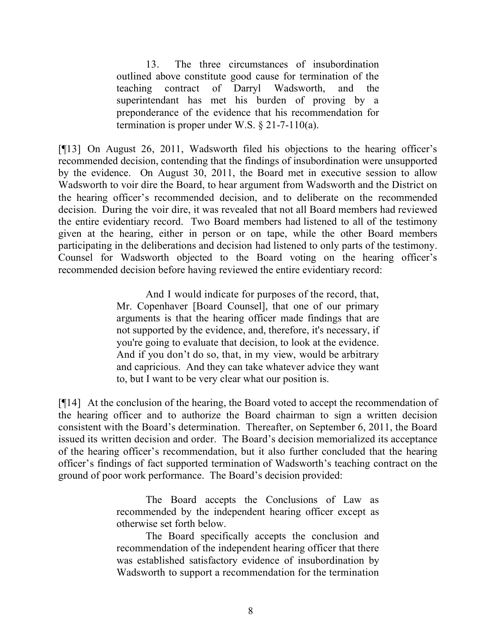13. The three circumstances of insubordination outlined above constitute good cause for termination of the teaching contract of Darryl Wadsworth, and the superintendant has met his burden of proving by a preponderance of the evidence that his recommendation for termination is proper under W.S.  $\S$  21-7-110(a).

[¶13] On August 26, 2011, Wadsworth filed his objections to the hearing officer's recommended decision, contending that the findings of insubordination were unsupported by the evidence. On August 30, 2011, the Board met in executive session to allow Wadsworth to voir dire the Board, to hear argument from Wadsworth and the District on the hearing officer's recommended decision, and to deliberate on the recommended decision. During the voir dire, it was revealed that not all Board members had reviewed the entire evidentiary record. Two Board members had listened to all of the testimony given at the hearing, either in person or on tape, while the other Board members participating in the deliberations and decision had listened to only parts of the testimony. Counsel for Wadsworth objected to the Board voting on the hearing officer's recommended decision before having reviewed the entire evidentiary record:

> And I would indicate for purposes of the record, that, Mr. Copenhaver [Board Counsel], that one of our primary arguments is that the hearing officer made findings that are not supported by the evidence, and, therefore, it's necessary, if you're going to evaluate that decision, to look at the evidence. And if you don't do so, that, in my view, would be arbitrary and capricious. And they can take whatever advice they want to, but I want to be very clear what our position is.

[¶14] At the conclusion of the hearing, the Board voted to accept the recommendation of the hearing officer and to authorize the Board chairman to sign a written decision consistent with the Board's determination. Thereafter, on September 6, 2011, the Board issued its written decision and order. The Board's decision memorialized its acceptance of the hearing officer's recommendation, but it also further concluded that the hearing officer's findings of fact supported termination of Wadsworth's teaching contract on the ground of poor work performance. The Board's decision provided:

> The Board accepts the Conclusions of Law as recommended by the independent hearing officer except as otherwise set forth below.

> The Board specifically accepts the conclusion and recommendation of the independent hearing officer that there was established satisfactory evidence of insubordination by Wadsworth to support a recommendation for the termination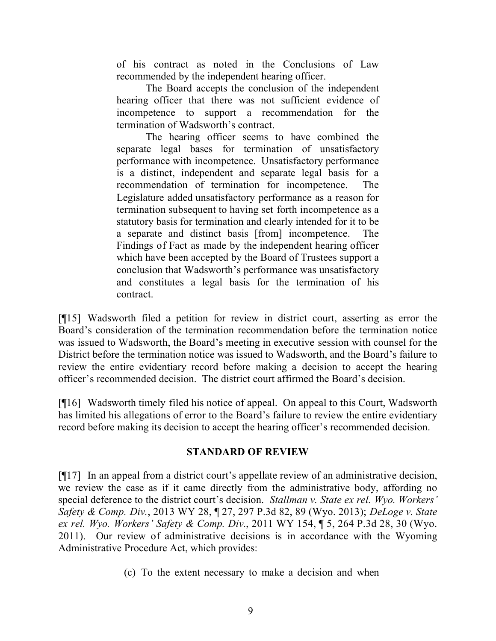of his contract as noted in the Conclusions of Law recommended by the independent hearing officer.

The Board accepts the conclusion of the independent hearing officer that there was not sufficient evidence of incompetence to support a recommendation for the termination of Wadsworth's contract.

The hearing officer seems to have combined the separate legal bases for termination of unsatisfactory performance with incompetence. Unsatisfactory performance is a distinct, independent and separate legal basis for a recommendation of termination for incompetence. The Legislature added unsatisfactory performance as a reason for termination subsequent to having set forth incompetence as a statutory basis for termination and clearly intended for it to be a separate and distinct basis [from] incompetence. The Findings of Fact as made by the independent hearing officer which have been accepted by the Board of Trustees support a conclusion that Wadsworth's performance was unsatisfactory and constitutes a legal basis for the termination of his contract.

[¶15] Wadsworth filed a petition for review in district court, asserting as error the Board's consideration of the termination recommendation before the termination notice was issued to Wadsworth, the Board's meeting in executive session with counsel for the District before the termination notice was issued to Wadsworth, and the Board's failure to review the entire evidentiary record before making a decision to accept the hearing officer's recommended decision. The district court affirmed the Board's decision.

[¶16] Wadsworth timely filed his notice of appeal. On appeal to this Court, Wadsworth has limited his allegations of error to the Board's failure to review the entire evidentiary record before making its decision to accept the hearing officer's recommended decision.

# **STANDARD OF REVIEW**

[¶17] In an appeal from a district court's appellate review of an administrative decision, we review the case as if it came directly from the administrative body, affording no special deference to the district court's decision. *Stallman v. State ex rel. Wyo. Workers' Safety & Comp. Div.*, 2013 WY 28, ¶ 27, 297 P.3d 82, 89 (Wyo. 2013); *DeLoge v. State ex rel. Wyo. Workers' Safety & Comp. Div.*, 2011 WY 154, ¶ 5, 264 P.3d 28, 30 (Wyo. 2011). Our review of administrative decisions is in accordance with the Wyoming Administrative Procedure Act, which provides:

(c) To the extent necessary to make a decision and when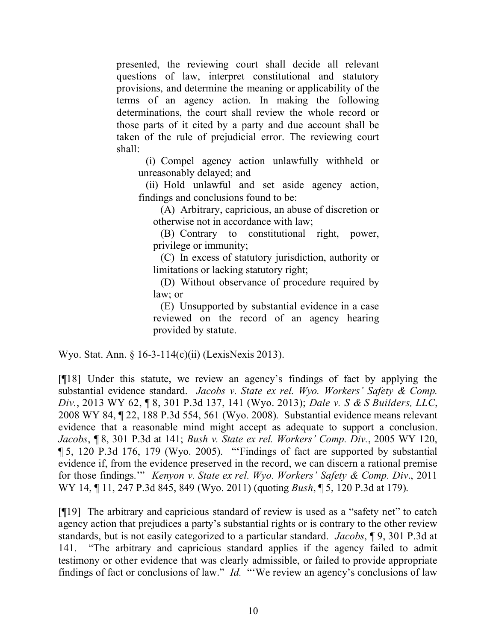presented, the reviewing court shall decide all relevant questions of law, interpret constitutional and statutory provisions, and determine the meaning or applicability of the terms of an agency action. In making the following determinations, the court shall review the whole record or those parts of it cited by a party and due account shall be taken of the rule of prejudicial error. The reviewing court shall:

(i) Compel agency action unlawfully withheld or unreasonably delayed; and

(ii) Hold unlawful and set aside agency action, findings and conclusions found to be:

(A) Arbitrary, capricious, an abuse of discretion or otherwise not in accordance with law;

(B) Contrary to constitutional right, power, privilege or immunity;

(C) In excess of statutory jurisdiction, authority or limitations or lacking statutory right;

(D) Without observance of procedure required by law; or

(E) Unsupported by substantial evidence in a case reviewed on the record of an agency hearing provided by statute.

Wyo. Stat. Ann. § 16-3-114(c)(ii) (LexisNexis 2013).

[¶18] Under this statute, we review an agency's findings of fact by applying the substantial evidence standard. *Jacobs v. State ex rel. Wyo. Workers' Safety & Comp. Div.*, 2013 WY 62, ¶ 8, 301 P.3d 137, 141 (Wyo. 2013); *Dale v. S & S Builders, LLC*, 2008 WY 84, ¶ 22, 188 P.3d 554, 561 (Wyo. 2008). Substantial evidence means relevant evidence that a reasonable mind might accept as adequate to support a conclusion. *Jacobs*, ¶ 8, 301 P.3d at 141; *Bush v. State ex rel. Workers' Comp. Div.*, 2005 WY 120, ¶ 5, 120 P.3d 176, 179 (Wyo. 2005). "'Findings of fact are supported by substantial evidence if, from the evidence preserved in the record, we can discern a rational premise for those findings.'" *Kenyon v. State ex rel. Wyo. Workers' Safety & Comp. Div*., 2011 WY 14, ¶ 11, 247 P.3d 845, 849 (Wyo. 2011) (quoting *Bush*, ¶ 5, 120 P.3d at 179).

[¶19] The arbitrary and capricious standard of review is used as a "safety net" to catch agency action that prejudices a party's substantial rights or is contrary to the other review standards, but is not easily categorized to a particular standard. *Jacobs*, ¶ 9, 301 P.3d at 141. "The arbitrary and capricious standard applies if the agency failed to admit testimony or other evidence that was clearly admissible, or failed to provide appropriate findings of fact or conclusions of law." *Id.* "'We review an agency's conclusions of law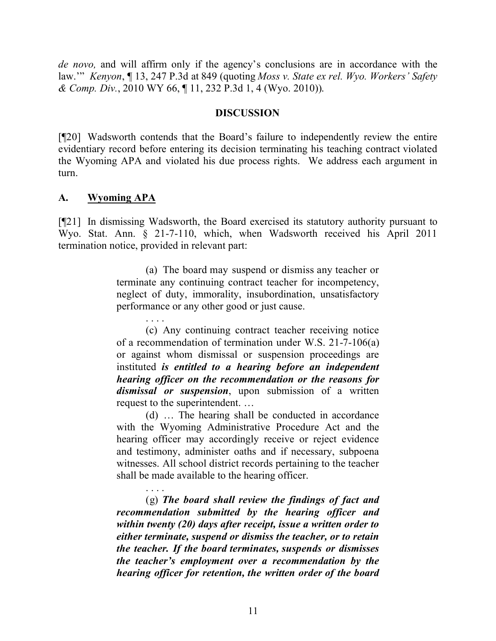*de novo,* and will affirm only if the agency's conclusions are in accordance with the law.'" *Kenyon*, ¶ 13, 247 P.3d at 849 (quoting *Moss v. State ex rel. Wyo. Workers' Safety & Comp. Div.*, 2010 WY 66, ¶ 11, 232 P.3d 1, 4 (Wyo. 2010)).

### **DISCUSSION**

[¶20] Wadsworth contends that the Board's failure to independently review the entire evidentiary record before entering its decision terminating his teaching contract violated the Wyoming APA and violated his due process rights. We address each argument in turn.

### **A. Wyoming APA**

[¶21] In dismissing Wadsworth, the Board exercised its statutory authority pursuant to Wyo. Stat. Ann. § 21-7-110, which, when Wadsworth received his April 2011 termination notice, provided in relevant part:

> (a) The board may suspend or dismiss any teacher or terminate any continuing contract teacher for incompetency, neglect of duty, immorality, insubordination, unsatisfactory performance or any other good or just cause.

> . . . . (c) Any continuing contract teacher receiving notice of a recommendation of termination under W.S. 21-7-106(a) or against whom dismissal or suspension proceedings are instituted *is entitled to a hearing before an independent hearing officer on the recommendation or the reasons for dismissal or suspension*, upon submission of a written request to the superintendent. …

> (d) … The hearing shall be conducted in accordance with the Wyoming Administrative Procedure Act and the hearing officer may accordingly receive or reject evidence and testimony, administer oaths and if necessary, subpoena witnesses. All school district records pertaining to the teacher shall be made available to the hearing officer.

> . . . . (g) *The board shall review the findings of fact and recommendation submitted by the hearing officer and within twenty (20) days after receipt, issue a written order to either terminate, suspend or dismiss the teacher, or to retain the teacher. If the board terminates, suspends or dismisses the teacher's employment over a recommendation by the hearing officer for retention, the written order of the board*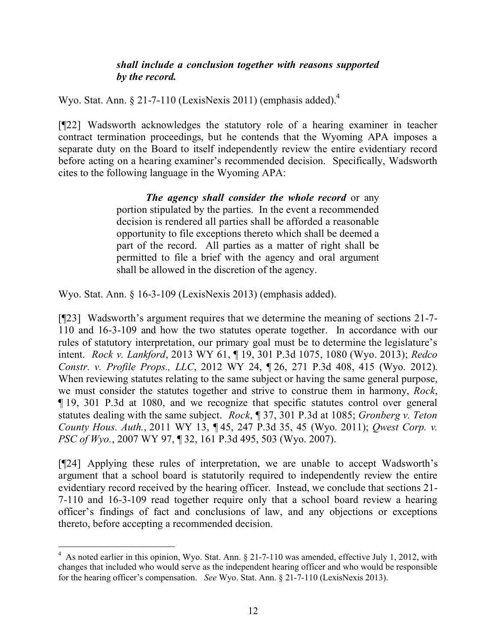## *shall include a conclusion together with reasons supported by the record.*

Wyo. Stat. Ann. § 21-7-110 (LexisNexis 2011) (emphasis added).<sup>4</sup>

[¶22] Wadsworth acknowledges the statutory role of a hearing examiner in teacher contract termination proceedings, but he contends that the Wyoming APA imposes a separate duty on the Board to itself independently review the entire evidentiary record before acting on a hearing examiner's recommended decision. Specifically, Wadsworth cites to the following language in the Wyoming APA:

> *The agency shall consider the whole record* or any portion stipulated by the parties. In the event a recommended decision is rendered all parties shall be afforded a reasonable opportunity to file exceptions thereto which shall be deemed a part of the record. All parties as a matter of right shall be permitted to file a brief with the agency and oral argument shall be allowed in the discretion of the agency.

Wyo. Stat. Ann. § 16-3-109 (LexisNexis 2013) (emphasis added).

[¶23] Wadsworth's argument requires that we determine the meaning of sections 21-7- 110 and 16-3-109 and how the two statutes operate together. In accordance with our rules of statutory interpretation, our primary goal must be to determine the legislature's intent. *Rock v. Lankford*, 2013 WY 61, ¶ 19, 301 P.3d 1075, 1080 (Wyo. 2013); *Redco Constr. v. Profile Props., LLC*, 2012 WY 24, ¶ 26, 271 P.3d 408, 415 (Wyo. 2012). When reviewing statutes relating to the same subject or having the same general purpose, we must consider the statutes together and strive to construe them in harmony, *Rock*, ¶ 19, 301 P.3d at 1080, and we recognize that specific statutes control over general statutes dealing with the same subject. *Rock*, ¶ 37, 301 P.3d at 1085; *Gronberg v. Teton County Hous. Auth.*, 2011 WY 13, ¶ 45, 247 P.3d 35, 45 (Wyo. 2011); *Qwest Corp. v. PSC of Wyo.*, 2007 WY 97, ¶ 32, 161 P.3d 495, 503 (Wyo. 2007).

[¶24] Applying these rules of interpretation, we are unable to accept Wadsworth's argument that a school board is statutorily required to independently review the entire evidentiary record received by the hearing officer. Instead, we conclude that sections 21- 7-110 and 16-3-109 read together require only that a school board review a hearing officer's findings of fact and conclusions of law, and any objections or exceptions thereto, before accepting a recommended decision.

<sup>&</sup>lt;sup>4</sup> As noted earlier in this opinion, Wyo. Stat. Ann. § 21-7-110 was amended, effective July 1, 2012, with changes that included who would serve as the independent hearing officer and who would be responsible for the hearing officer's compensation. *See* Wyo. Stat. Ann. § 21-7-110 (LexisNexis 2013).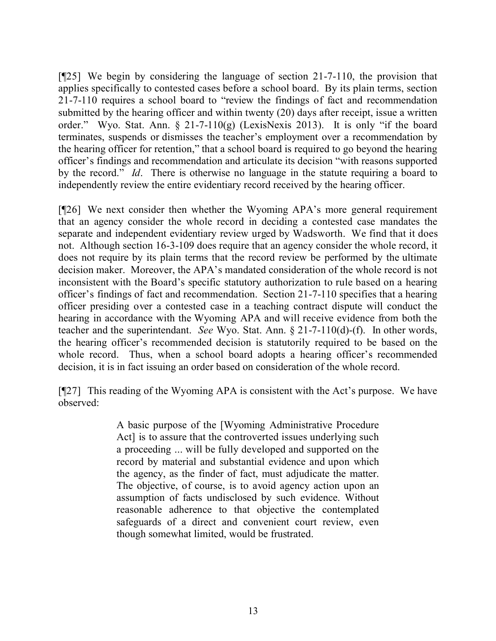[¶25] We begin by considering the language of section 21-7-110, the provision that applies specifically to contested cases before a school board. By its plain terms, section 21-7-110 requires a school board to "review the findings of fact and recommendation submitted by the hearing officer and within twenty (20) days after receipt, issue a written order." Wyo. Stat. Ann. § 21-7-110(g) (LexisNexis 2013). It is only "if the board terminates, suspends or dismisses the teacher's employment over a recommendation by the hearing officer for retention," that a school board is required to go beyond the hearing officer's findings and recommendation and articulate its decision "with reasons supported by the record." *Id*. There is otherwise no language in the statute requiring a board to independently review the entire evidentiary record received by the hearing officer.

[¶26] We next consider then whether the Wyoming APA's more general requirement that an agency consider the whole record in deciding a contested case mandates the separate and independent evidentiary review urged by Wadsworth. We find that it does not. Although section 16-3-109 does require that an agency consider the whole record, it does not require by its plain terms that the record review be performed by the ultimate decision maker. Moreover, the APA's mandated consideration of the whole record is not inconsistent with the Board's specific statutory authorization to rule based on a hearing officer's findings of fact and recommendation. Section 21-7-110 specifies that a hearing officer presiding over a contested case in a teaching contract dispute will conduct the hearing in accordance with the Wyoming APA and will receive evidence from both the teacher and the superintendant. *See* Wyo. Stat. Ann. § 21-7-110(d)-(f). In other words, the hearing officer's recommended decision is statutorily required to be based on the whole record. Thus, when a school board adopts a hearing officer's recommended decision, it is in fact issuing an order based on consideration of the whole record.

[¶27] This reading of the Wyoming APA is consistent with the Act's purpose. We have observed:

> A basic purpose of the [Wyoming Administrative Procedure Act] is to assure that the controverted issues underlying such a proceeding ... will be fully developed and supported on the record by material and substantial evidence and upon which the agency, as the finder of fact, must adjudicate the matter. The objective, of course, is to avoid agency action upon an assumption of facts undisclosed by such evidence. Without reasonable adherence to that objective the contemplated safeguards of a direct and convenient court review, even though somewhat limited, would be frustrated.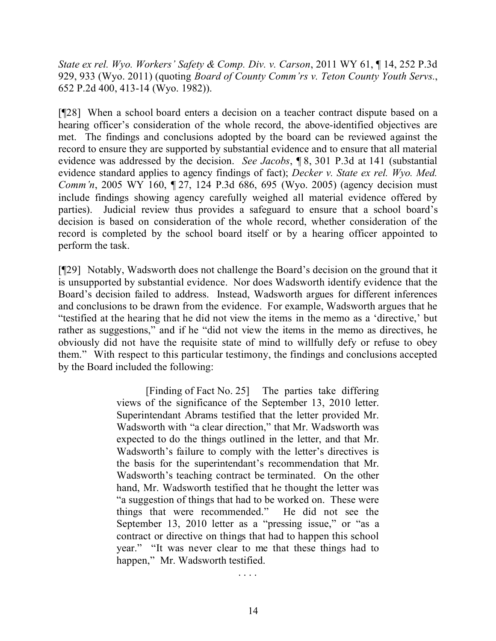*State ex rel. Wyo. Workers' Safety & Comp. Div. v. Carson*, 2011 WY 61, ¶ 14, 252 P.3d 929, 933 (Wyo. 2011) (quoting *Board of County Comm'rs v. Teton County Youth Servs.*, 652 P.2d 400, 413-14 (Wyo. 1982)).

[¶28] When a school board enters a decision on a teacher contract dispute based on a hearing officer's consideration of the whole record, the above-identified objectives are met. The findings and conclusions adopted by the board can be reviewed against the record to ensure they are supported by substantial evidence and to ensure that all material evidence was addressed by the decision. *See Jacobs*, ¶ 8, 301 P.3d at 141 (substantial evidence standard applies to agency findings of fact); *Decker v. State ex rel. Wyo. Med. Comm'n*, 2005 WY 160, 127, 124 P.3d 686, 695 (Wyo. 2005) (agency decision must include findings showing agency carefully weighed all material evidence offered by parties). Judicial review thus provides a safeguard to ensure that a school board's decision is based on consideration of the whole record, whether consideration of the record is completed by the school board itself or by a hearing officer appointed to perform the task.

[¶29] Notably, Wadsworth does not challenge the Board's decision on the ground that it is unsupported by substantial evidence. Nor does Wadsworth identify evidence that the Board's decision failed to address. Instead, Wadsworth argues for different inferences and conclusions to be drawn from the evidence. For example, Wadsworth argues that he "testified at the hearing that he did not view the items in the memo as a 'directive,' but rather as suggestions," and if he "did not view the items in the memo as directives, he obviously did not have the requisite state of mind to willfully defy or refuse to obey them." With respect to this particular testimony, the findings and conclusions accepted by the Board included the following:

> [Finding of Fact No. 25] The parties take differing views of the significance of the September 13, 2010 letter. Superintendant Abrams testified that the letter provided Mr. Wadsworth with "a clear direction," that Mr. Wadsworth was expected to do the things outlined in the letter, and that Mr. Wadsworth's failure to comply with the letter's directives is the basis for the superintendant's recommendation that Mr. Wadsworth's teaching contract be terminated. On the other hand, Mr. Wadsworth testified that he thought the letter was "a suggestion of things that had to be worked on. These were things that were recommended." He did not see the September 13, 2010 letter as a "pressing issue," or "as a contract or directive on things that had to happen this school year." "It was never clear to me that these things had to happen," Mr. Wadsworth testified.

> > . . . .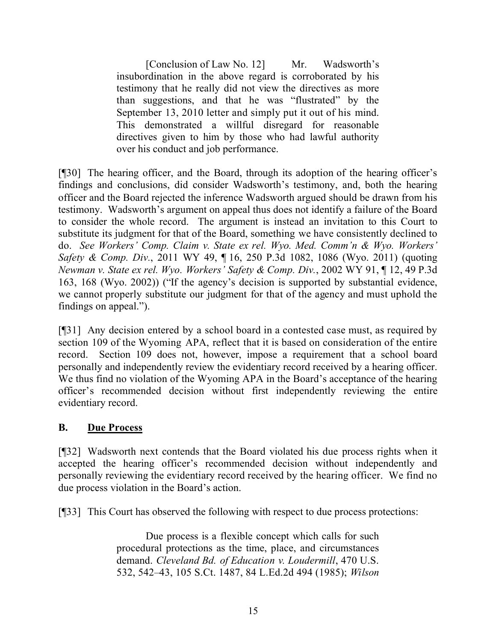[Conclusion of Law No. 12] Mr. Wadsworth's insubordination in the above regard is corroborated by his testimony that he really did not view the directives as more than suggestions, and that he was "flustrated" by the September 13, 2010 letter and simply put it out of his mind. This demonstrated a willful disregard for reasonable directives given to him by those who had lawful authority over his conduct and job performance.

[¶30] The hearing officer, and the Board, through its adoption of the hearing officer's findings and conclusions, did consider Wadsworth's testimony, and, both the hearing officer and the Board rejected the inference Wadsworth argued should be drawn from his testimony. Wadsworth's argument on appeal thus does not identify a failure of the Board to consider the whole record. The argument is instead an invitation to this Court to substitute its judgment for that of the Board, something we have consistently declined to do. *See Workers' Comp. Claim v. State ex rel. Wyo. Med. Comm'n & Wyo. Workers' Safety & Comp. Div.*, 2011 WY 49, ¶ 16, 250 P.3d 1082, 1086 (Wyo. 2011) (quoting *Newman v. State ex rel. Wyo. Workers' Safety & Comp. Div.*, 2002 WY 91, ¶ 12, 49 P.3d 163, 168 (Wyo. 2002)) ("If the agency's decision is supported by substantial evidence, we cannot properly substitute our judgment for that of the agency and must uphold the findings on appeal.").

[¶31] Any decision entered by a school board in a contested case must, as required by section 109 of the Wyoming APA, reflect that it is based on consideration of the entire record. Section 109 does not, however, impose a requirement that a school board personally and independently review the evidentiary record received by a hearing officer. We thus find no violation of the Wyoming APA in the Board's acceptance of the hearing officer's recommended decision without first independently reviewing the entire evidentiary record.

# **B. Due Process**

[¶32] Wadsworth next contends that the Board violated his due process rights when it accepted the hearing officer's recommended decision without independently and personally reviewing the evidentiary record received by the hearing officer. We find no due process violation in the Board's action.

[¶33] This Court has observed the following with respect to due process protections:

Due process is a flexible concept which calls for such procedural protections as the time, place, and circumstances demand. *Cleveland Bd. of Education v. Loudermill*, 470 U.S. 532, 542–43, 105 S.Ct. 1487, 84 L.Ed.2d 494 (1985); *Wilson*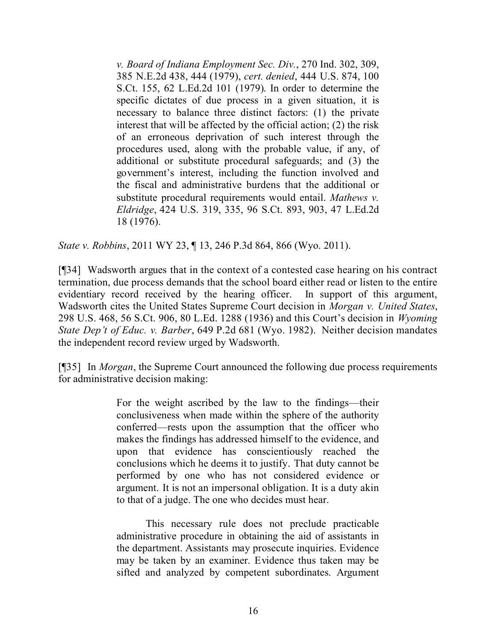*v. Board of Indiana Employment Sec. Div.*, 270 Ind. 302, 309, 385 N.E.2d 438, 444 (1979), *cert. denied*, 444 U.S. 874, 100 S.Ct. 155, 62 L.Ed.2d 101 (1979). In order to determine the specific dictates of due process in a given situation, it is necessary to balance three distinct factors: (1) the private interest that will be affected by the official action; (2) the risk of an erroneous deprivation of such interest through the procedures used, along with the probable value, if any, of additional or substitute procedural safeguards; and (3) the government's interest, including the function involved and the fiscal and administrative burdens that the additional or substitute procedural requirements would entail. *Mathews v. Eldridge*, 424 U.S. 319, 335, 96 S.Ct. 893, 903, 47 L.Ed.2d 18 (1976).

*State v. Robbins*, 2011 WY 23, ¶ 13, 246 P.3d 864, 866 (Wyo. 2011).

[¶34] Wadsworth argues that in the context of a contested case hearing on his contract termination, due process demands that the school board either read or listen to the entire evidentiary record received by the hearing officer. In support of this argument, Wadsworth cites the United States Supreme Court decision in *Morgan v. United States*, 298 U.S. 468, 56 S.Ct. 906, 80 L.Ed. 1288 (1936) and this Court's decision in *Wyoming State Dep't of Educ. v. Barber*, 649 P.2d 681 (Wyo. 1982). Neither decision mandates the independent record review urged by Wadsworth.

[¶35] In *Morgan*, the Supreme Court announced the following due process requirements for administrative decision making:

> For the weight ascribed by the law to the findings—their conclusiveness when made within the sphere of the authority conferred—rests upon the assumption that the officer who makes the findings has addressed himself to the evidence, and upon that evidence has conscientiously reached the conclusions which he deems it to justify. That duty cannot be performed by one who has not considered evidence or argument. It is not an impersonal obligation. It is a duty akin to that of a judge. The one who decides must hear.

> This necessary rule does not preclude practicable administrative procedure in obtaining the aid of assistants in the department. Assistants may prosecute inquiries. Evidence may be taken by an examiner. Evidence thus taken may be sifted and analyzed by competent subordinates. Argument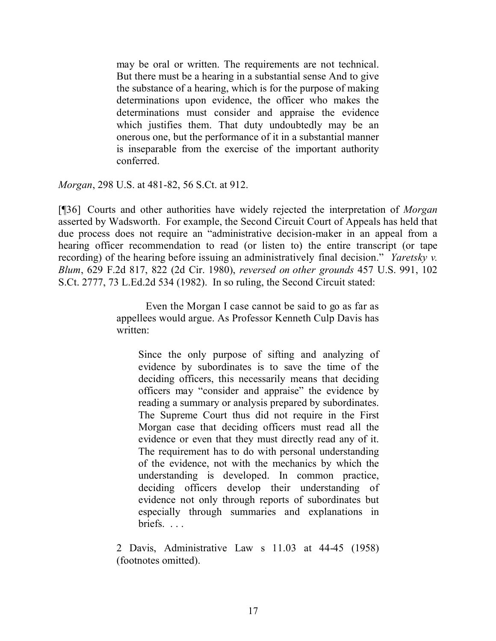may be oral or written. The requirements are not technical. But there must be a hearing in a substantial sense And to give the substance of a hearing, which is for the purpose of making determinations upon evidence, the officer who makes the determinations must consider and appraise the evidence which justifies them. That duty undoubtedly may be an onerous one, but the performance of it in a substantial manner is inseparable from the exercise of the important authority conferred.

*Morgan*, 298 U.S. at 481-82, 56 S.Ct. at 912.

[¶36] Courts and other authorities have widely rejected the interpretation of *Morgan* asserted by Wadsworth. For example, the Second Circuit Court of Appeals has held that due process does not require an "administrative decision-maker in an appeal from a hearing officer recommendation to read (or listen to) the entire transcript (or tape recording) of the hearing before issuing an administratively final decision." *Yaretsky v. Blum*, 629 F.2d 817, 822 (2d Cir. 1980), *reversed on other grounds* 457 U.S. 991, 102 S.Ct. 2777, 73 L.Ed.2d 534 (1982). In so ruling, the Second Circuit stated:

> Even the Morgan I case cannot be said to go as far as appellees would argue. As Professor Kenneth Culp Davis has written:

Since the only purpose of sifting and analyzing of evidence by subordinates is to save the time of the deciding officers, this necessarily means that deciding officers may "consider and appraise" the evidence by reading a summary or analysis prepared by subordinates. The Supreme Court thus did not require in the First Morgan case that deciding officers must read all the evidence or even that they must directly read any of it. The requirement has to do with personal understanding of the evidence, not with the mechanics by which the understanding is developed. In common practice, deciding officers develop their understanding of evidence not only through reports of subordinates but especially through summaries and explanations in briefs. . . .

2 Davis, Administrative Law s 11.03 at 44-45 (1958) (footnotes omitted).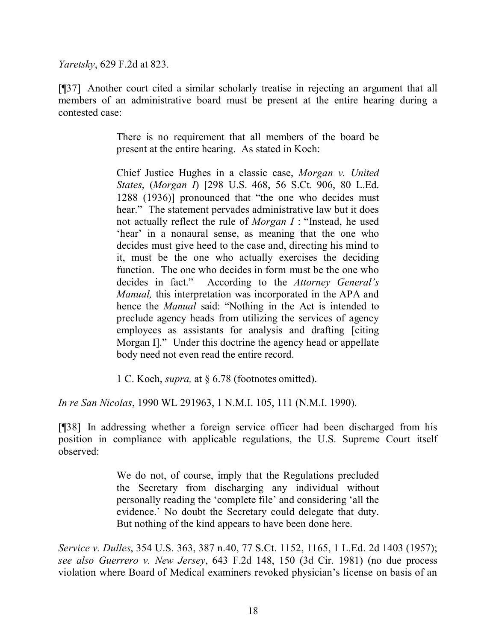*Yaretsky*, 629 F.2d at 823.

[¶37] Another court cited a similar scholarly treatise in rejecting an argument that all members of an administrative board must be present at the entire hearing during a contested case:

> There is no requirement that all members of the board be present at the entire hearing. As stated in Koch:

> Chief Justice Hughes in a classic case, *Morgan v. United States*, (*Morgan I*) [298 U.S. 468, 56 S.Ct. 906, 80 L.Ed. 1288 (1936)] pronounced that "the one who decides must hear." The statement pervades administrative law but it does not actually reflect the rule of *Morgan I* : "Instead, he used 'hear' in a nonaural sense, as meaning that the one who decides must give heed to the case and, directing his mind to it, must be the one who actually exercises the deciding function. The one who decides in form must be the one who decides in fact." According to the *Attorney General's Manual,* this interpretation was incorporated in the APA and hence the *Manual* said: "Nothing in the Act is intended to preclude agency heads from utilizing the services of agency employees as assistants for analysis and drafting [citing Morgan I]." Under this doctrine the agency head or appellate body need not even read the entire record.

1 C. Koch, *supra,* at § 6.78 (footnotes omitted).

*In re San Nicolas*, 1990 WL 291963, 1 N.M.I. 105, 111 (N.M.I. 1990).

[¶38] In addressing whether a foreign service officer had been discharged from his position in compliance with applicable regulations, the U.S. Supreme Court itself observed:

> We do not, of course, imply that the Regulations precluded the Secretary from discharging any individual without personally reading the 'complete file' and considering 'all the evidence.' No doubt the Secretary could delegate that duty. But nothing of the kind appears to have been done here.

*Service v. Dulles*, 354 U.S. 363, 387 n.40, 77 S.Ct. 1152, 1165, 1 L.Ed. 2d 1403 (1957); *see also Guerrero v. New Jersey*, 643 F.2d 148, 150 (3d Cir. 1981) (no due process violation where Board of Medical examiners revoked physician's license on basis of an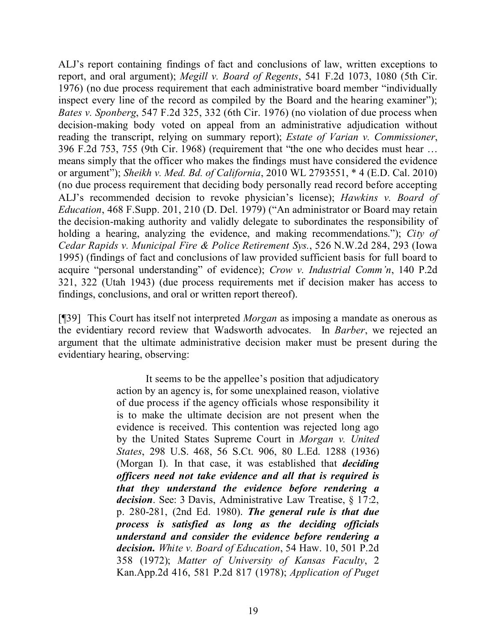ALJ's report containing findings of fact and conclusions of law, written exceptions to report, and oral argument); *Megill v. Board of Regents*, 541 F.2d 1073, 1080 (5th Cir. 1976) (no due process requirement that each administrative board member "individually inspect every line of the record as compiled by the Board and the hearing examiner"); *Bates v. Sponberg*, 547 F.2d 325, 332 (6th Cir. 1976) (no violation of due process when decision-making body voted on appeal from an administrative adjudication without reading the transcript, relying on summary report); *Estate of Varian v. Commissioner*, 396 F.2d 753, 755 (9th Cir. 1968) (requirement that "the one who decides must hear … means simply that the officer who makes the findings must have considered the evidence or argument"); *Sheikh v. Med. Bd. of California*, 2010 WL 2793551, \* 4 (E.D. Cal. 2010) (no due process requirement that deciding body personally read record before accepting ALJ's recommended decision to revoke physician's license); *Hawkins v. Board of Education*, 468 F.Supp. 201, 210 (D. Del. 1979) ("An administrator or Board may retain the decision-making authority and validly delegate to subordinates the responsibility of holding a hearing, analyzing the evidence, and making recommendations."); *City of Cedar Rapids v. Municipal Fire & Police Retirement Sys.*, 526 N.W.2d 284, 293 (Iowa 1995) (findings of fact and conclusions of law provided sufficient basis for full board to acquire "personal understanding" of evidence); *Crow v. Industrial Comm'n*, 140 P.2d 321, 322 (Utah 1943) (due process requirements met if decision maker has access to findings, conclusions, and oral or written report thereof).

[¶39] This Court has itself not interpreted *Morgan* as imposing a mandate as onerous as the evidentiary record review that Wadsworth advocates. In *Barber*, we rejected an argument that the ultimate administrative decision maker must be present during the evidentiary hearing, observing:

> It seems to be the appellee's position that adjudicatory action by an agency is, for some unexplained reason, violative of due process if the agency officials whose responsibility it is to make the ultimate decision are not present when the evidence is received. This contention was rejected long ago by the United States Supreme Court in *Morgan v. United States*, 298 U.S. 468, 56 S.Ct. 906, 80 L.Ed. 1288 (1936) (Morgan I). In that case, it was established that *deciding officers need not take evidence and all that is required is that they understand the evidence before rendering a decision*. See: 3 Davis, Administrative Law Treatise, § 17:2, p. 280-281, (2nd Ed. 1980). *The general rule is that due process is satisfied as long as the deciding officials understand and consider the evidence before rendering a decision. White v. Board of Education*, 54 Haw. 10, 501 P.2d 358 (1972); *Matter of University of Kansas Faculty*, 2 Kan.App.2d 416, 581 P.2d 817 (1978); *Application of Puget*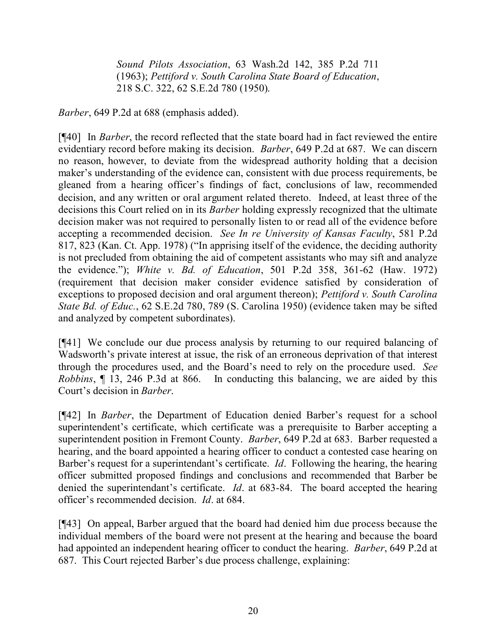*Sound Pilots Association*, 63 Wash.2d 142, 385 P.2d 711 (1963); *Pettiford v. South Carolina State Board of Education*, 218 S.C. 322, 62 S.E.2d 780 (1950).

*Barber*, 649 P.2d at 688 (emphasis added).

[¶40] In *Barber*, the record reflected that the state board had in fact reviewed the entire evidentiary record before making its decision. *Barber*, 649 P.2d at 687. We can discern no reason, however, to deviate from the widespread authority holding that a decision maker's understanding of the evidence can, consistent with due process requirements, be gleaned from a hearing officer's findings of fact, conclusions of law, recommended decision, and any written or oral argument related thereto. Indeed, at least three of the decisions this Court relied on in its *Barber* holding expressly recognized that the ultimate decision maker was not required to personally listen to or read all of the evidence before accepting a recommended decision. *See In re University of Kansas Faculty*, 581 P.2d 817, 823 (Kan. Ct. App. 1978) ("In apprising itself of the evidence, the deciding authority is not precluded from obtaining the aid of competent assistants who may sift and analyze the evidence."); *White v. Bd. of Education*, 501 P.2d 358, 361-62 (Haw. 1972) (requirement that decision maker consider evidence satisfied by consideration of exceptions to proposed decision and oral argument thereon); *Pettiford v. South Carolina State Bd. of Educ.*, 62 S.E.2d 780, 789 (S. Carolina 1950) (evidence taken may be sifted and analyzed by competent subordinates).

[¶41] We conclude our due process analysis by returning to our required balancing of Wadsworth's private interest at issue, the risk of an erroneous deprivation of that interest through the procedures used, and the Board's need to rely on the procedure used. *See Robbins*, ¶ 13, 246 P.3d at 866. In conducting this balancing, we are aided by this Court's decision in *Barber*.

[¶42] In *Barber*, the Department of Education denied Barber's request for a school superintendent's certificate, which certificate was a prerequisite to Barber accepting a superintendent position in Fremont County. *Barber*, 649 P.2d at 683. Barber requested a hearing, and the board appointed a hearing officer to conduct a contested case hearing on Barber's request for a superintendant's certificate. *Id*. Following the hearing, the hearing officer submitted proposed findings and conclusions and recommended that Barber be denied the superintendant's certificate. *Id*. at 683-84. The board accepted the hearing officer's recommended decision. *Id*. at 684.

[¶43] On appeal, Barber argued that the board had denied him due process because the individual members of the board were not present at the hearing and because the board had appointed an independent hearing officer to conduct the hearing. *Barber*, 649 P.2d at 687. This Court rejected Barber's due process challenge, explaining: